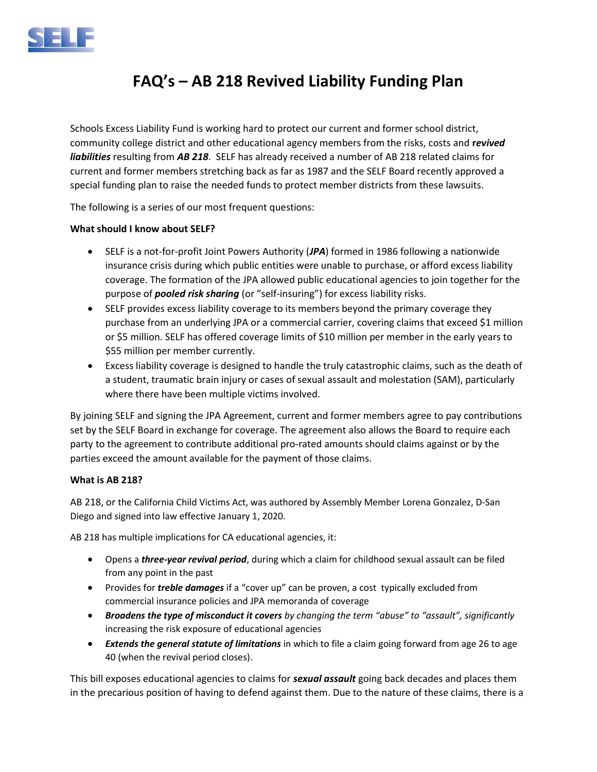

# FAQ's – AB 218 Revived Liability Funding Plan

Schools Excess Liability Fund is working hard to protect our current and former school district, community college district and other educational agency members from the risks, costs and revived liabilities resulting from AB 218. SELF has already received a number of AB 218 related claims for current and former members stretching back as far as 1987 and the SELF Board recently approved a special funding plan to raise the needed funds to protect member districts from these lawsuits.

The following is a series of our most frequent questions:

#### What should I know about SELF?

- SELF is a not-for-profit Joint Powers Authority (JPA) formed in 1986 following a nationwide insurance crisis during which public entities were unable to purchase, or afford excess liability coverage. The formation of the JPA allowed public educational agencies to join together for the purpose of *pooled risk sharing* (or "self-insuring") for excess liability risks.
- SELF provides excess liability coverage to its members beyond the primary coverage they purchase from an underlying JPA or a commercial carrier, covering claims that exceed \$1 million or \$5 million. SELF has offered coverage limits of \$10 million per member in the early years to \$55 million per member currently.
- Excess liability coverage is designed to handle the truly catastrophic claims, such as the death of a student, traumatic brain injury or cases of sexual assault and molestation (SAM), particularly where there have been multiple victims involved.

By joining SELF and signing the JPA Agreement, current and former members agree to pay contributions set by the SELF Board in exchange for coverage. The agreement also allows the Board to require each party to the agreement to contribute additional pro-rated amounts should claims against or by the parties exceed the amount available for the payment of those claims.

#### What is AB 218?

AB 218, or the California Child Victims Act, was authored by Assembly Member Lorena Gonzalez, D-San Diego and signed into law effective January 1, 2020.

AB 218 has multiple implications for CA educational agencies, it:

- Opens a *three-year revival period*, during which a claim for childhood sexual assault can be filed from any point in the past
- Provides for *treble damages* if a "cover up" can be proven, a cost typically excluded from commercial insurance policies and JPA memoranda of coverage
- **Broadens the type of misconduct it covers** by changing the term "abuse" to "assault", significantly increasing the risk exposure of educational agencies
- **Extends the general statute of limitations** in which to file a claim going forward from age 26 to age 40 (when the revival period closes).

This bill exposes educational agencies to claims for *sexual assault* going back decades and places them in the precarious position of having to defend against them. Due to the nature of these claims, there is a